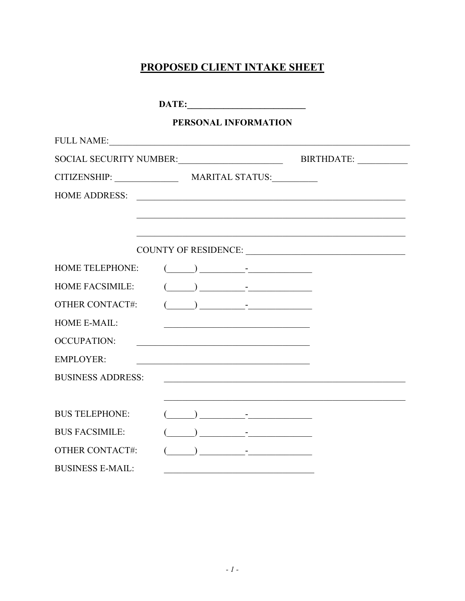# **PROPOSED CLIENT INTAKE SHEET**

|                              |  | PERSONAL INFORMATION                                                                                                                                                                                                                                                                                                                                  |                                                                                                                        |
|------------------------------|--|-------------------------------------------------------------------------------------------------------------------------------------------------------------------------------------------------------------------------------------------------------------------------------------------------------------------------------------------------------|------------------------------------------------------------------------------------------------------------------------|
| FULL NAME:                   |  |                                                                                                                                                                                                                                                                                                                                                       |                                                                                                                        |
|                              |  |                                                                                                                                                                                                                                                                                                                                                       | SOCIAL SECURITY NUMBER:<br>BIRTHDATE:                                                                                  |
| CITIZENSHIP: MARITAL STATUS: |  |                                                                                                                                                                                                                                                                                                                                                       |                                                                                                                        |
| <b>HOME ADDRESS:</b>         |  |                                                                                                                                                                                                                                                                                                                                                       | <u> 1989 - Johann Stoff, deutscher Stoffen und der Stoffen und der Stoffen und der Stoffen und der Stoffen und der</u> |
|                              |  |                                                                                                                                                                                                                                                                                                                                                       |                                                                                                                        |
|                              |  |                                                                                                                                                                                                                                                                                                                                                       |                                                                                                                        |
|                              |  |                                                                                                                                                                                                                                                                                                                                                       |                                                                                                                        |
| HOME TELEPHONE:              |  | $\begin{picture}(20,10) \put(0,0){\line(1,0){10}} \put(15,0){\line(1,0){10}} \put(15,0){\line(1,0){10}} \put(15,0){\line(1,0){10}} \put(15,0){\line(1,0){10}} \put(15,0){\line(1,0){10}} \put(15,0){\line(1,0){10}} \put(15,0){\line(1,0){10}} \put(15,0){\line(1,0){10}} \put(15,0){\line(1,0){10}} \put(15,0){\line(1,0){10}} \put(15,0){\line(1$   |                                                                                                                        |
| <b>HOME FACSIMILE:</b>       |  | $\begin{picture}(20,10) \put(0,0){\line(1,0){10}} \put(15,0){\line(1,0){10}} \put(15,0){\line(1,0){10}} \put(15,0){\line(1,0){10}} \put(15,0){\line(1,0){10}} \put(15,0){\line(1,0){10}} \put(15,0){\line(1,0){10}} \put(15,0){\line(1,0){10}} \put(15,0){\line(1,0){10}} \put(15,0){\line(1,0){10}} \put(15,0){\line(1,0){10}} \put(15,0){\line(1$   |                                                                                                                        |
| <b>OTHER CONTACT#:</b>       |  | $\begin{picture}(20,10) \put(0,0){\line(1,0){10}} \put(15,0){\line(1,0){10}} \put(15,0){\line(1,0){10}} \put(15,0){\line(1,0){10}} \put(15,0){\line(1,0){10}} \put(15,0){\line(1,0){10}} \put(15,0){\line(1,0){10}} \put(15,0){\line(1,0){10}} \put(15,0){\line(1,0){10}} \put(15,0){\line(1,0){10}} \put(15,0){\line(1,0){10}} \put(15,0){\line(1$   |                                                                                                                        |
| <b>HOME E-MAIL:</b>          |  |                                                                                                                                                                                                                                                                                                                                                       |                                                                                                                        |
| <b>OCCUPATION:</b>           |  | <u> 1980 - John Stein, Amerikaansk politiker (</u>                                                                                                                                                                                                                                                                                                    |                                                                                                                        |
| <b>EMPLOYER:</b>             |  |                                                                                                                                                                                                                                                                                                                                                       |                                                                                                                        |
| <b>BUSINESS ADDRESS:</b>     |  |                                                                                                                                                                                                                                                                                                                                                       |                                                                                                                        |
|                              |  |                                                                                                                                                                                                                                                                                                                                                       |                                                                                                                        |
| <b>BUS TELEPHONE:</b>        |  | $\begin{picture}(20,10) \put(0,0){\line(1,0){10}} \put(15,0){\line(1,0){10}} \put(15,0){\line(1,0){10}} \put(15,0){\line(1,0){10}} \put(15,0){\line(1,0){10}} \put(15,0){\line(1,0){10}} \put(15,0){\line(1,0){10}} \put(15,0){\line(1,0){10}} \put(15,0){\line(1,0){10}} \put(15,0){\line(1,0){10}} \put(15,0){\line(1,0){10}} \put(15,0){\line(1$   |                                                                                                                        |
| <b>BUS FACSIMILE:</b>        |  | $\frac{1}{2}$ $\frac{1}{2}$ $\frac{1}{2}$ $\frac{1}{2}$ $\frac{1}{2}$ $\frac{1}{2}$ $\frac{1}{2}$ $\frac{1}{2}$ $\frac{1}{2}$ $\frac{1}{2}$ $\frac{1}{2}$ $\frac{1}{2}$ $\frac{1}{2}$ $\frac{1}{2}$ $\frac{1}{2}$ $\frac{1}{2}$ $\frac{1}{2}$ $\frac{1}{2}$ $\frac{1}{2}$ $\frac{1}{2}$ $\frac{1}{2}$ $\frac{1}{2}$                                   |                                                                                                                        |
| <b>OTHER CONTACT#:</b>       |  | $\overline{a}$ ) and $\overline{a}$ - $\overline{a}$ - $\overline{a}$ - $\overline{a}$ - $\overline{a}$ - $\overline{a}$ - $\overline{a}$ - $\overline{a}$ - $\overline{a}$ - $\overline{a}$ - $\overline{a}$ - $\overline{a}$ - $\overline{a}$ - $\overline{a}$ - $\overline{a}$ - $\overline{a}$ - $\overline{a}$ - $\overline{a}$ - $\overline{a}$ |                                                                                                                        |
| <b>BUSINESS E-MAIL:</b>      |  |                                                                                                                                                                                                                                                                                                                                                       |                                                                                                                        |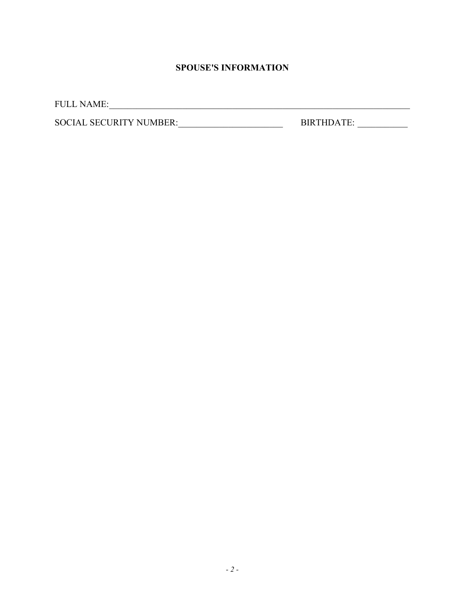### **SPOUSE'S INFORMATION**

FULL NAME:\_\_\_\_\_\_\_\_\_\_\_\_\_\_\_\_\_\_\_\_\_\_\_\_\_\_\_\_\_\_\_\_\_\_\_\_\_\_\_\_\_\_\_\_\_\_\_\_\_\_\_\_\_\_\_\_\_\_\_\_\_\_\_\_\_\_

SOCIAL SECURITY NUMBER:\_\_\_\_\_\_\_\_\_\_\_\_\_\_\_\_\_\_\_\_\_\_\_ BIRTHDATE: \_\_\_\_\_\_\_\_\_\_\_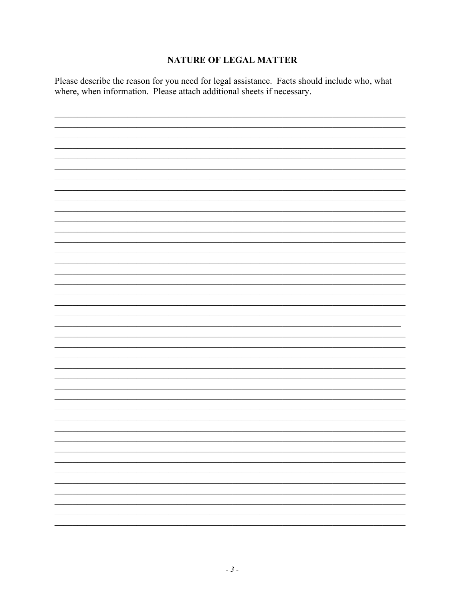#### **NATURE OF LEGAL MATTER**

Please describe the reason for you need for legal assistance. Facts should include who, what where, when information. Please attach additional sheets if necessary.

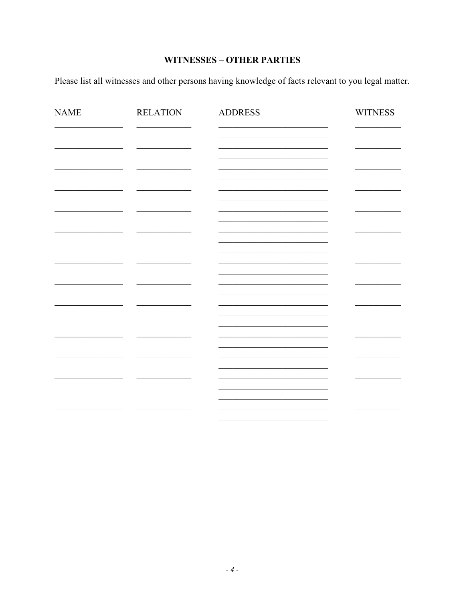## **WITNESSES - OTHER PARTIES**

Please list all witnesses and other persons having knowledge of facts relevant to you legal matter.

| <b>NAME</b> | <b>RELATION</b> | <b>ADDRESS</b> | <b>WITNESS</b> |
|-------------|-----------------|----------------|----------------|
|             |                 |                |                |
|             |                 |                |                |
|             |                 |                |                |
|             |                 |                |                |
|             |                 |                |                |
|             |                 |                |                |
|             |                 |                |                |
|             |                 |                |                |
|             |                 |                |                |
|             |                 |                |                |
|             |                 |                |                |
|             |                 |                |                |
|             |                 |                |                |
|             |                 |                |                |
|             |                 |                |                |
|             |                 |                |                |